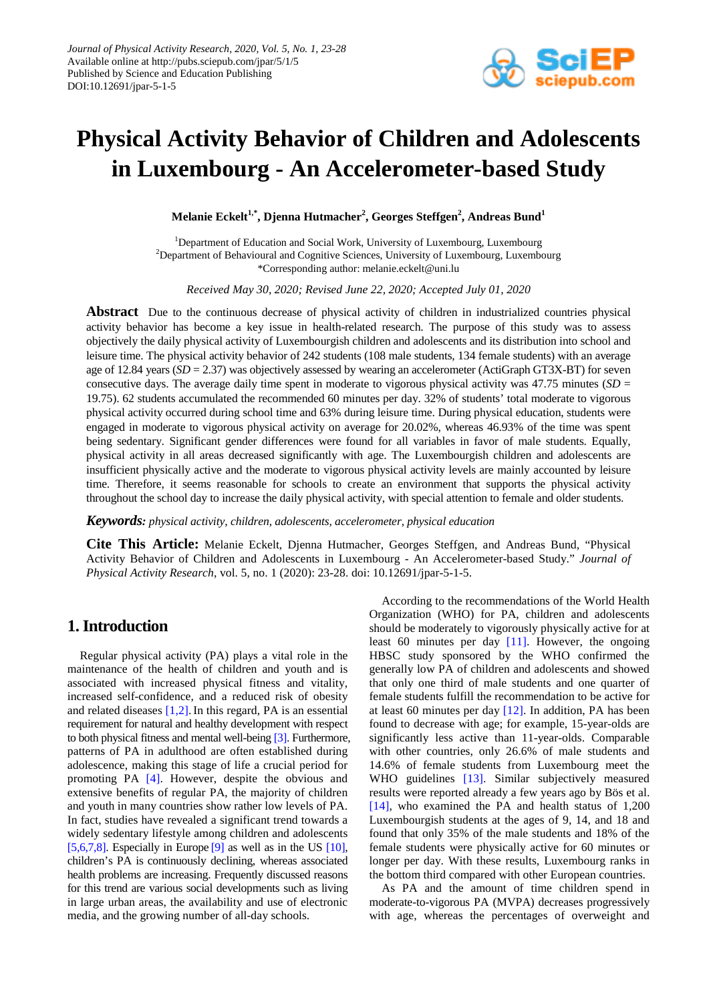

# **Physical Activity Behavior of Children and Adolescents in Luxembourg - An Accelerometer-based Study**

 $\mathbf{M}$ elanie Eckelt $^{1,*}$ , Djenna Hutmacher $^{2}$ , Georges Steffgen $^{2}$ , Andreas Bund $^{1}$ 

<sup>1</sup>Department of Education and Social Work, University of Luxembourg, Luxembourg  $2$ Department of Behavioural and Cognitive Sciences, University of Luxembourg, Luxembourg \*Corresponding author: melanie.eckelt@uni.lu

*Received May 30, 2020; Revised June 22, 2020; Accepted July 01, 2020*

**Abstract** Due to the continuous decrease of physical activity of children in industrialized countries physical activity behavior has become a key issue in health-related research. The purpose of this study was to assess objectively the daily physical activity of Luxembourgish children and adolescents and its distribution into school and leisure time. The physical activity behavior of 242 students (108 male students, 134 female students) with an average age of 12.84 years (*SD* = 2.37) was objectively assessed by wearing an accelerometer (ActiGraph GT3X-BT) for seven consecutive days. The average daily time spent in moderate to vigorous physical activity was 47.75 minutes (*SD* = 19.75). 62 students accumulated the recommended 60 minutes per day. 32% of students' total moderate to vigorous physical activity occurred during school time and 63% during leisure time. During physical education, students were engaged in moderate to vigorous physical activity on average for 20.02%, whereas 46.93% of the time was spent being sedentary. Significant gender differences were found for all variables in favor of male students. Equally, physical activity in all areas decreased significantly with age. The Luxembourgish children and adolescents are insufficient physically active and the moderate to vigorous physical activity levels are mainly accounted by leisure time. Therefore, it seems reasonable for schools to create an environment that supports the physical activity throughout the school day to increase the daily physical activity, with special attention to female and older students.

*Keywords: physical activity, children, adolescents, accelerometer, physical education*

**Cite This Article:** Melanie Eckelt, Djenna Hutmacher, Georges Steffgen, and Andreas Bund, "Physical Activity Behavior of Children and Adolescents in Luxembourg - An Accelerometer-based Study." *Journal of Physical Activity Research*, vol. 5, no. 1 (2020): 23-28. doi: 10.12691/jpar-5-1-5.

## **1. Introduction**

Regular physical activity (PA) plays a vital role in the maintenance of the health of children and youth and is associated with increased physical fitness and vitality, increased self-confidence, and a reduced risk of obesity and related diseases  $[1,2]$ . In this regard, PA is an essential requirement for natural and healthy development with respect to both physical fitness and mental well-bein[g \[3\].](#page-5-0) Furthermore, patterns of PA in adulthood are often established during adolescence, making this stage of life a crucial period for promoting PA [\[4\].](#page-5-1) However, despite the obvious and extensive benefits of regular PA, the majority of children and youth in many countries show rather low levels of PA. In fact, studies have revealed a significant trend towards a widely sedentary lifestyle among children and adolescents [\[5,6,7,8\].](#page-5-2) Especially in Europe  $[9]$  as well as in the US  $[10]$ , children's PA is continuously declining, whereas associated health problems are increasing. Frequently discussed reasons for this trend are various social developments such as living in large urban areas, the availability and use of electronic media, and the growing number of all-day schools.

According to the recommendations of the World Health Organization (WHO) for PA, children and adolescents should be moderately to vigorously physically active for at least 60 minutes per day [\[11\].](#page-5-5) However, the ongoing HBSC study sponsored by the WHO confirmed the generally low PA of children and adolescents and showed that only one third of male students and one quarter of female students fulfill the recommendation to be active for at least 60 minutes per day  $[12]$ . In addition, PA has been found to decrease with age; for example, 15-year-olds are significantly less active than 11-year-olds. Comparable with other countries, only 26.6% of male students and 14.6% of female students from Luxembourg meet the WHO guidelines [\[13\].](#page-5-7) Similar subjectively measured results were reported already a few years ago by Bös et al. [\[14\],](#page-5-8) who examined the PA and health status of 1,200 Luxembourgish students at the ages of 9, 14, and 18 and found that only 35% of the male students and 18% of the female students were physically active for 60 minutes or longer per day. With these results, Luxembourg ranks in the bottom third compared with other European countries.

As PA and the amount of time children spend in moderate-to-vigorous PA (MVPA) decreases progressively with age, whereas the percentages of overweight and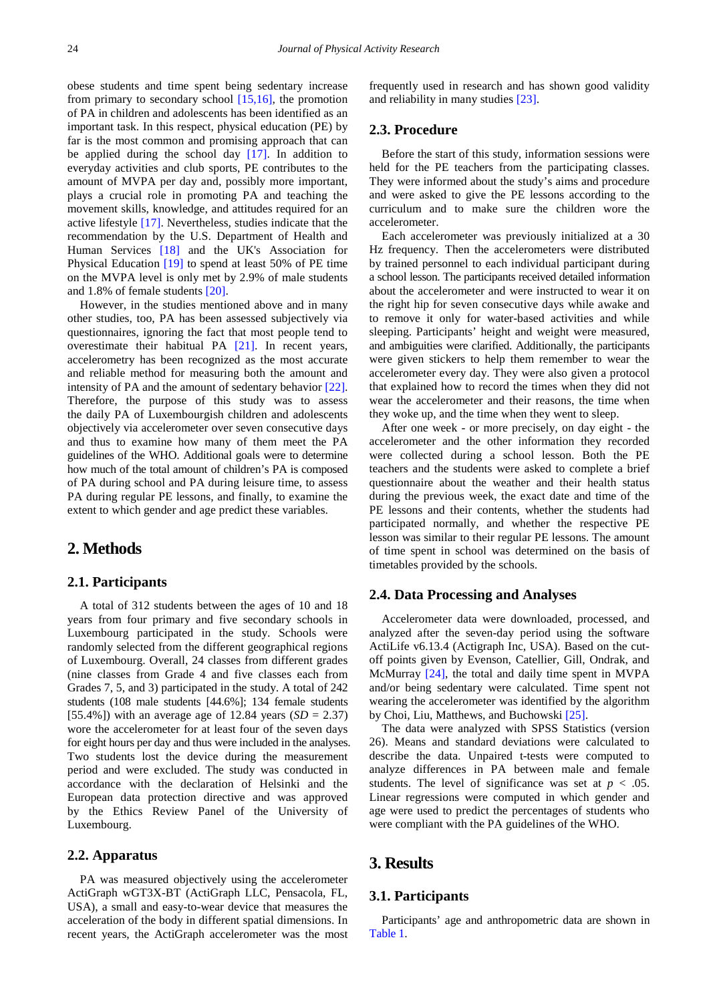obese students and time spent being sedentary increase from primary to secondary school  $[15,16]$ , the promotion of PA in children and adolescents has been identified as an important task. In this respect, physical education (PE) by far is the most common and promising approach that can be applied during the school day [\[17\].](#page-5-10) In addition to everyday activities and club sports, PE contributes to the amount of MVPA per day and, possibly more important, plays a crucial role in promoting PA and teaching the movement skills, knowledge, and attitudes required for an active lifestyle [\[17\].](#page-5-10) Nevertheless, studies indicate that the recommendation by the U.S. Department of Health and Human Services [\[18\]](#page-5-11) and the UK's Association for Physical Education [\[19\]](#page-5-12) to spend at least 50% of PE time on the MVPA level is only met by 2.9% of male students and 1.8% of female students [\[20\].](#page-5-13)

However, in the studies mentioned above and in many other studies, too, PA has been assessed subjectively via questionnaires, ignoring the fact that most people tend to overestimate their habitual PA [\[21\].](#page-5-14) In recent years, accelerometry has been recognized as the most accurate and reliable method for measuring both the amount and intensity of PA and the amount of sedentary behavior [\[22\].](#page-5-15) Therefore, the purpose of this study was to assess the daily PA of Luxembourgish children and adolescents objectively via accelerometer over seven consecutive days and thus to examine how many of them meet the PA guidelines of the WHO. Additional goals were to determine how much of the total amount of children's PA is composed of PA during school and PA during leisure time, to assess PA during regular PE lessons, and finally, to examine the extent to which gender and age predict these variables.

# **2. Methods**

#### **2.1. Participants**

A total of 312 students between the ages of 10 and 18 years from four primary and five secondary schools in Luxembourg participated in the study. Schools were randomly selected from the different geographical regions of Luxembourg. Overall, 24 classes from different grades (nine classes from Grade 4 and five classes each from Grades 7, 5, and 3) participated in the study. A total of 242 students (108 male students [44.6%]; 134 female students [55.4%]) with an average age of 12.84 years  $(SD = 2.37)$ wore the accelerometer for at least four of the seven days for eight hours per day and thus were included in the analyses. Two students lost the device during the measurement period and were excluded. The study was conducted in accordance with the declaration of Helsinki and the European data protection directive and was approved by the Ethics Review Panel of the University of Luxembourg.

### **2.2. Apparatus**

PA was measured objectively using the accelerometer ActiGraph wGT3X-BT (ActiGraph LLC, Pensacola, FL, USA), a small and easy-to-wear device that measures the acceleration of the body in different spatial dimensions. In recent years, the ActiGraph accelerometer was the most frequently used in research and has shown good validity and reliability in many studies [\[23\].](#page-5-16)

#### **2.3. Procedure**

Before the start of this study, information sessions were held for the PE teachers from the participating classes. They were informed about the study's aims and procedure and were asked to give the PE lessons according to the curriculum and to make sure the children wore the accelerometer.

Each accelerometer was previously initialized at a 30 Hz frequency. Then the accelerometers were distributed by trained personnel to each individual participant during a school lesson. The participants received detailed information about the accelerometer and were instructed to wear it on the right hip for seven consecutive days while awake and to remove it only for water-based activities and while sleeping. Participants' height and weight were measured, and ambiguities were clarified. Additionally, the participants were given stickers to help them remember to wear the accelerometer every day. They were also given a protocol that explained how to record the times when they did not wear the accelerometer and their reasons, the time when they woke up, and the time when they went to sleep.

After one week - or more precisely, on day eight - the accelerometer and the other information they recorded were collected during a school lesson. Both the PE teachers and the students were asked to complete a brief questionnaire about the weather and their health status during the previous week, the exact date and time of the PE lessons and their contents, whether the students had participated normally, and whether the respective PE lesson was similar to their regular PE lessons. The amount of time spent in school was determined on the basis of timetables provided by the schools.

#### **2.4. Data Processing and Analyses**

Accelerometer data were downloaded, processed, and analyzed after the seven-day period using the software ActiLife v6.13.4 (Actigraph Inc, USA). Based on the cutoff points given by Evenson, Catellier, Gill, Ondrak, and McMurray  $[24]$ , the total and daily time spent in MVPA and/or being sedentary were calculated. Time spent not wearing the accelerometer was identified by the algorithm by Choi, Liu, Matthews, and Buchowski [\[25\].](#page-5-18)

The data were analyzed with SPSS Statistics (version 26). Means and standard deviations were calculated to describe the data. Unpaired t-tests were computed to analyze differences in PA between male and female students. The level of significance was set at  $p < .05$ . Linear regressions were computed in which gender and age were used to predict the percentages of students who were compliant with the PA guidelines of the WHO.

## **3. Results**

#### **3.1. Participants**

Participants' age and anthropometric data are shown in [Table 1.](#page-2-0)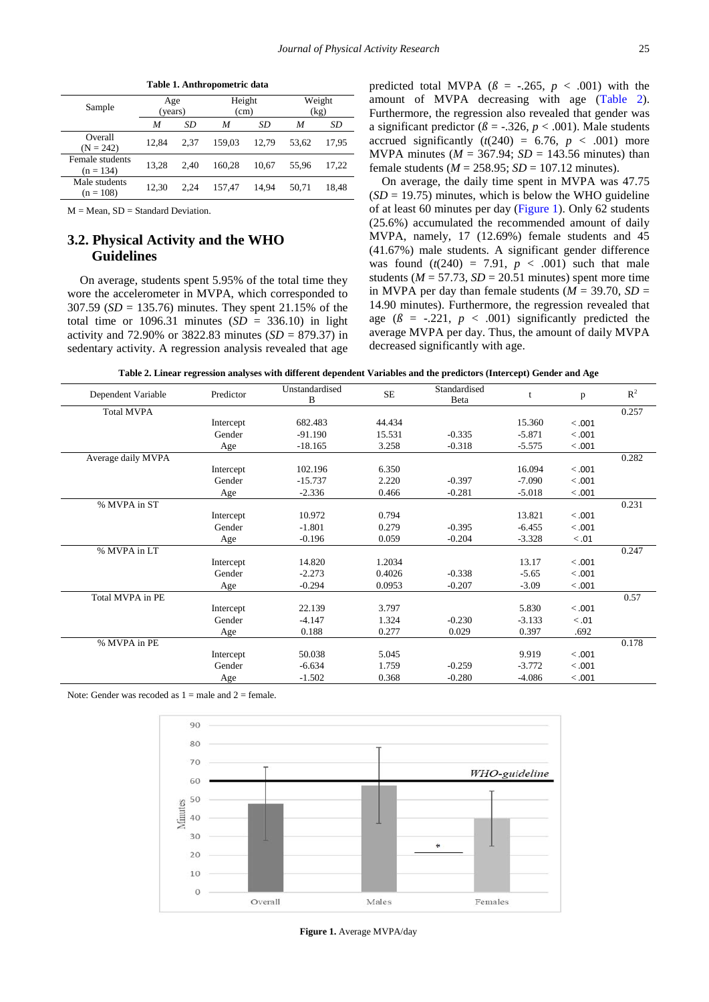<span id="page-2-0"></span>**Table 1. Anthropometric data**

 $M = Mean$ ,  $SD = Standard Deviation$ .

## **3.2. Physical Activity and the WHO Guidelines**

On average, students spent 5.95% of the total time they wore the accelerometer in MVPA, which corresponded to 307.59 (*SD* = 135.76) minutes. They spent 21.15% of the total time or  $1096.31$  minutes  $(SD = 336.10)$  in light activity and 72.90% or 3822.83 minutes (*SD* = 879.37) in sedentary activity. A regression analysis revealed that age

predicted total MVPA ( $\beta$  = -.265,  $p < .001$ ) with the amount of MVPA decreasing with age [\(Table 2\)](#page-2-1). Furthermore, the regression also revealed that gender was a significant predictor ( $\beta$  = -.326,  $p < .001$ ). Male students accrued significantly  $(t(240) = 6.76, p < .001)$  more MVPA minutes ( $M = 367.94$ ;  $SD = 143.56$  minutes) than female students ( $M = 258.95$ ;  $SD = 107.12$  minutes).

On average, the daily time spent in MVPA was 47.75  $(SD = 19.75)$  minutes, which is below the WHO guideline of at least 60 minutes per day [\(Figure 1\)](#page-2-2). Only 62 students (25.6%) accumulated the recommended amount of daily MVPA, namely, 17 (12.69%) female students and 45 (41.67%) male students. A significant gender difference was found  $(t(240) = 7.91, p < .001)$  such that male students ( $M = 57.73$ ,  $SD = 20.51$  minutes) spent more time in MVPA per day than female students  $(M = 39.70, SD =$ 14.90 minutes). Furthermore, the regression revealed that age  $(\beta = -.221, p < .001)$  significantly predicted the average MVPA per day. Thus, the amount of daily MVPA decreased significantly with age.

**Table 2. Linear regression analyses with different dependent Variables and the predictors (Intercept) Gender and Age**

<span id="page-2-1"></span>

| Dependent Variable | Predictor | Unstandardised<br>B | $\rm SE$ | Standardised<br>Beta | t        | p       | $R^2$ |
|--------------------|-----------|---------------------|----------|----------------------|----------|---------|-------|
| <b>Total MVPA</b>  |           |                     |          |                      |          |         | 0.257 |
|                    | Intercept | 682.483             | 44.434   |                      | 15.360   | $-.001$ |       |
|                    | Gender    | $-91.190$           | 15.531   | $-0.335$             | $-5.871$ | < .001  |       |
|                    | Age       | $-18.165$           | 3.258    | $-0.318$             | $-5.575$ | < .001  |       |
| Average daily MVPA |           |                     |          |                      |          |         | 0.282 |
|                    | Intercept | 102.196             | 6.350    |                      | 16.094   | $-.001$ |       |
|                    | Gender    | $-15.737$           | 2.220    | $-0.397$             | $-7.090$ | < .001  |       |
|                    | Age       | $-2.336$            | 0.466    | $-0.281$             | $-5.018$ | < .001  |       |
| % MVPA in ST       |           |                     |          |                      |          |         | 0.231 |
|                    | Intercept | 10.972              | 0.794    |                      | 13.821   | < .001  |       |
|                    | Gender    | $-1.801$            | 0.279    | $-0.395$             | $-6.455$ | < .001  |       |
|                    | Age       | $-0.196$            | 0.059    | $-0.204$             | $-3.328$ | < 0.01  |       |
| % MVPA in LT       |           |                     |          |                      |          |         | 0.247 |
|                    | Intercept | 14.820              | 1.2034   |                      | 13.17    | < .001  |       |
|                    | Gender    | $-2.273$            | 0.4026   | $-0.338$             | $-5.65$  | < .001  |       |
|                    | Age       | $-0.294$            | 0.0953   | $-0.207$             | $-3.09$  | < .001  |       |
| Total MVPA in PE   |           |                     |          |                      |          |         | 0.57  |
|                    | Intercept | 22.139              | 3.797    |                      | 5.830    | < .001  |       |
|                    | Gender    | $-4.147$            | 1.324    | $-0.230$             | $-3.133$ | < 0.01  |       |
|                    | Age       | 0.188               | 0.277    | 0.029                | 0.397    | .692    |       |
| % MVPA in PE       |           |                     |          |                      |          |         | 0.178 |
|                    | Intercept | 50.038              | 5.045    |                      | 9.919    | < .001  |       |
|                    | Gender    | $-6.634$            | 1.759    | $-0.259$             | $-3.772$ | < .001  |       |
|                    | Age       | $-1.502$            | 0.368    | $-0.280$             | $-4.086$ | < .001  |       |
|                    |           |                     |          |                      |          |         |       |

<span id="page-2-2"></span>Note: Gender was recoded as  $1 =$  male and  $2 =$  female.



**Figure 1.** Average MVPA/day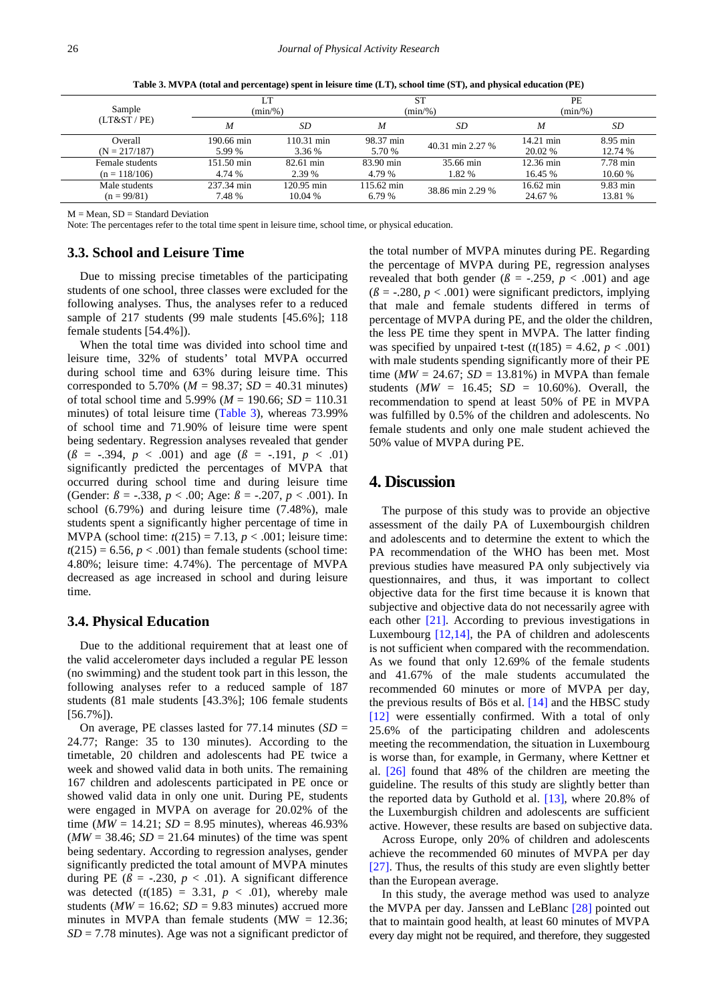<span id="page-3-0"></span>

| Sample<br>(LT&ST/PE) | LT<br>$(min\%)$ |            | <b>ST</b><br>$(min\%)$ |                  | PE<br>$(min\%)$     |          |
|----------------------|-----------------|------------|------------------------|------------------|---------------------|----------|
|                      | M               | SD         | M                      | SD               | M                   | SD       |
| Overall              | 190.66 min      | 110.31 min | 98.37 min              | 40.31 min 2.27 % | $14.21 \text{ min}$ | 8.95 min |
| $(N = 217/187)$      | 5.99 %          | 3.36 %     | 5.70 %                 |                  | 20.02 %             | 12.74 %  |
| Female students      | 151.50 min      | 82.61 min  | 83.90 min              | 35.66 min        | 12.36 min           | 7.78 min |
| $(n = 118/106)$      | 4.74 %          | 2.39 %     | 4.79 %                 | 1.82 %           | 16.45 %             | 10.60 %  |
| Male students        | 237.34 min      | 120.95 min | $115.62 \text{ min}$   | 38.86 min 2.29 % | $16.62 \text{ min}$ | 9.83 min |
| $(n = 99/81)$        | 7.48 %          | 10.04%     | 6.79 %                 |                  | 24.67 %             | 13.81 %  |

**Table 3. MVPA (total and percentage) spent in leisure time (LT), school time (ST), and physical education (PE)**

 $M = Mean$ ,  $SD = Standard Deviation$ 

Note: The percentages refer to the total time spent in leisure time, school time, or physical education.

### **3.3. School and Leisure Time**

Due to missing precise timetables of the participating students of one school, three classes were excluded for the following analyses. Thus, the analyses refer to a reduced sample of 217 students (99 male students [45.6%]; 118 female students [54.4%]).

When the total time was divided into school time and leisure time, 32% of students' total MVPA occurred during school time and 63% during leisure time. This corresponded to 5.70% ( $M = 98.37$ ;  $SD = 40.31$  minutes) of total school time and 5.99% (*M* = 190.66; *SD* = 110.31 minutes) of total leisure time [\(Table 3\)](#page-3-0), whereas 73.99% of school time and 71.90% of leisure time were spent being sedentary. Regression analyses revealed that gender  $(\beta = -.394, p < .001)$  and age  $(\beta = -.191, p < .01)$ significantly predicted the percentages of MVPA that occurred during school time and during leisure time (Gender:  $\beta$  = -.338,  $p < .00$ ; Age:  $\beta$  = -.207,  $p < .001$ ). In school (6.79%) and during leisure time (7.48%), male students spent a significantly higher percentage of time in MVPA (school time: *t*(215) = 7.13, *p* < .001; leisure time:  $t(215) = 6.56$ ,  $p < .001$ ) than female students (school time: 4.80%; leisure time: 4.74%). The percentage of MVPA decreased as age increased in school and during leisure time.

#### **3.4. Physical Education**

Due to the additional requirement that at least one of the valid accelerometer days included a regular PE lesson (no swimming) and the student took part in this lesson, the following analyses refer to a reduced sample of 187 students (81 male students [43.3%]; 106 female students [56.7%]).

On average, PE classes lasted for  $77.14$  minutes (*SD* = 24.77; Range: 35 to 130 minutes). According to the timetable, 20 children and adolescents had PE twice a week and showed valid data in both units. The remaining 167 children and adolescents participated in PE once or showed valid data in only one unit. During PE, students were engaged in MVPA on average for 20.02% of the time ( $MW = 14.21$ ;  $SD = 8.95$  minutes), whereas 46.93%  $(MW = 38.46; SD = 21.64$  minutes) of the time was spent being sedentary. According to regression analyses, gender significantly predicted the total amount of MVPA minutes during PE  $(\beta = -.230, p < .01)$ . A significant difference was detected  $(t(185) = 3.31, p < .01)$ , whereby male students ( $MW = 16.62$ ;  $SD = 9.83$  minutes) accrued more minutes in MVPA than female students (MW  $= 12.36$ ; *SD* = 7.78 minutes). Age was not a significant predictor of the total number of MVPA minutes during PE. Regarding the percentage of MVPA during PE, regression analyses revealed that both gender ( $\beta$  = -.259,  $p$  < .001) and age  $(\beta = -0.280, p < .001)$  were significant predictors, implying that male and female students differed in terms of percentage of MVPA during PE, and the older the children, the less PE time they spent in MVPA. The latter finding was specified by unpaired t-test  $(t(185) = 4.62, p < .001)$ with male students spending significantly more of their PE time ( $MW = 24.67$ ;  $SD = 13.81\%$ ) in MVPA than female students ( $MW = 16.45$ ;  $SD = 10.60$ %). Overall, the recommendation to spend at least 50% of PE in MVPA was fulfilled by 0.5% of the children and adolescents. No female students and only one male student achieved the 50% value of MVPA during PE.

## **4. Discussion**

The purpose of this study was to provide an objective assessment of the daily PA of Luxembourgish children and adolescents and to determine the extent to which the PA recommendation of the WHO has been met. Most previous studies have measured PA only subjectively via questionnaires, and thus, it was important to collect objective data for the first time because it is known that subjective and objective data do not necessarily agree with each other [\[21\].](#page-5-14) According to previous investigations in Luxembourg [\[12,14\],](#page-5-6) the PA of children and adolescents is not sufficient when compared with the recommendation. As we found that only 12.69% of the female students and 41.67% of the male students accumulated the recommended 60 minutes or more of MVPA per day, the previous results of Bös et al. [\[14\]](#page-5-8) and the HBSC study [\[12\]](#page-5-6) were essentially confirmed. With a total of only 25.6% of the participating children and adolescents meeting the recommendation, the situation in Luxembourg is worse than, for example, in Germany, where Kettner et al. [\[26\]](#page-5-19) found that 48% of the children are meeting the guideline. The results of this study are slightly better than the reported data by Guthold et al. [\[13\],](#page-5-7) where 20.8% of the Luxemburgish children and adolescents are sufficient active. However, these results are based on subjective data.

Across Europe, only 20% of children and adolescents achieve the recommended 60 minutes of MVPA per day [\[27\].](#page-5-20) Thus, the results of this study are even slightly better than the European average.

In this study, the average method was used to analyze the MVPA per day. Janssen and LeBlanc [\[28\]](#page-5-21) pointed out that to maintain good health, at least 60 minutes of MVPA every day might not be required, and therefore, they suggested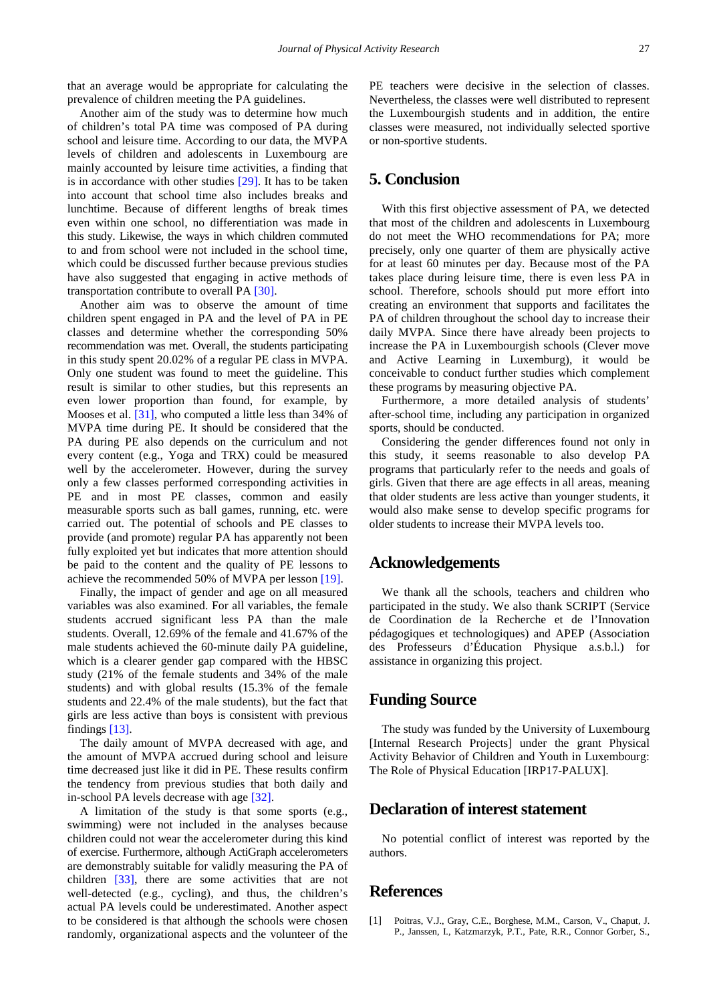that an average would be appropriate for calculating the prevalence of children meeting the PA guidelines.

Another aim of the study was to determine how much of children's total PA time was composed of PA during school and leisure time. According to our data, the MVPA levels of children and adolescents in Luxembourg are mainly accounted by leisure time activities, a finding that is in accordance with other studies  $[29]$ . It has to be taken into account that school time also includes breaks and lunchtime. Because of different lengths of break times even within one school, no differentiation was made in this study. Likewise, the ways in which children commuted to and from school were not included in the school time, which could be discussed further because previous studies have also suggested that engaging in active methods of transportation contribute to overall P[A \[30\].](#page-5-23)

Another aim was to observe the amount of time children spent engaged in PA and the level of PA in PE classes and determine whether the corresponding 50% recommendation was met. Overall, the students participating in this study spent 20.02% of a regular PE class in MVPA. Only one student was found to meet the guideline. This result is similar to other studies, but this represents an even lower proportion than found, for example, by Mooses et al. [\[31\],](#page-5-24) who computed a little less than 34% of MVPA time during PE. It should be considered that the PA during PE also depends on the curriculum and not every content (e.g., Yoga and TRX) could be measured well by the accelerometer. However, during the survey only a few classes performed corresponding activities in PE and in most PE classes, common and easily measurable sports such as ball games, running, etc. were carried out. The potential of schools and PE classes to provide (and promote) regular PA has apparently not been fully exploited yet but indicates that more attention should be paid to the content and the quality of PE lessons to achieve the recommended 50% of MVPA per lesson [\[19\].](#page-5-12)

Finally, the impact of gender and age on all measured variables was also examined. For all variables, the female students accrued significant less PA than the male students. Overall, 12.69% of the female and 41.67% of the male students achieved the 60-minute daily PA guideline, which is a clearer gender gap compared with the HBSC study (21% of the female students and 34% of the male students) and with global results (15.3% of the female students and 22.4% of the male students), but the fact that girls are less active than boys is consistent with previous findings [\[13\].](#page-5-7)

The daily amount of MVPA decreased with age, and the amount of MVPA accrued during school and leisure time decreased just like it did in PE. These results confirm the tendency from previous studies that both daily and in-school PA levels decrease with age [\[32\].](#page-5-25)

A limitation of the study is that some sports (e.g., swimming) were not included in the analyses because children could not wear the accelerometer during this kind of exercise. Furthermore, although ActiGraph accelerometers are demonstrably suitable for validly measuring the PA of children [\[33\],](#page-5-26) there are some activities that are not well-detected (e.g., cycling), and thus, the children's actual PA levels could be underestimated. Another aspect to be considered is that although the schools were chosen randomly, organizational aspects and the volunteer of the PE teachers were decisive in the selection of classes. Nevertheless, the classes were well distributed to represent the Luxembourgish students and in addition, the entire classes were measured, not individually selected sportive or non-sportive students.

# **5. Conclusion**

With this first objective assessment of PA, we detected that most of the children and adolescents in Luxembourg do not meet the WHO recommendations for PA; more precisely, only one quarter of them are physically active for at least 60 minutes per day. Because most of the PA takes place during leisure time, there is even less PA in school. Therefore, schools should put more effort into creating an environment that supports and facilitates the PA of children throughout the school day to increase their daily MVPA. Since there have already been projects to increase the PA in Luxembourgish schools (Clever move and Active Learning in Luxemburg), it would be conceivable to conduct further studies which complement these programs by measuring objective PA.

Furthermore, a more detailed analysis of students' after-school time, including any participation in organized sports, should be conducted.

Considering the gender differences found not only in this study, it seems reasonable to also develop PA programs that particularly refer to the needs and goals of girls. Given that there are age effects in all areas, meaning that older students are less active than younger students, it would also make sense to develop specific programs for older students to increase their MVPA levels too.

## **Acknowledgements**

We thank all the schools, teachers and children who participated in the study. We also thank SCRIPT (Service de Coordination de la Recherche et de l'Innovation pédagogiques et technologiques) and APEP (Association des Professeurs d'Éducation Physique a.s.b.l.) for assistance in organizing this project.

# **Funding Source**

The study was funded by the University of Luxembourg [Internal Research Projects] under the grant Physical Activity Behavior of Children and Youth in Luxembourg: The Role of Physical Education [IRP17-PALUX].

# **Declaration of interest statement**

No potential conflict of interest was reported by the authors.

## **References**

<span id="page-4-0"></span>[1] Poitras, V.J., Gray, C.E., Borghese, M.M., Carson, V., Chaput, J. P., Janssen, I., Katzmarzyk, P.T., Pate, R.R., Connor Gorber, S.,